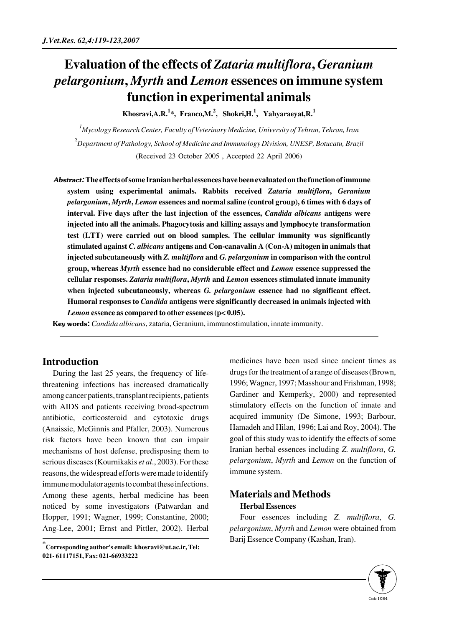# **Evaluation of the effects of** *Zataria multiflora***,** *Geranium pelargonium***,** *Myrth* **and** *Lemon* **essences on immune system function in experimental animals**

**Khosravi,A.R.<sup>1</sup> \*, Franco,M.2 , Shokri,H.1 , Yahyaraeyat,R.<sup>1</sup>**

*1 Mycology Research Center, Faculty of Veterinary Medicine, University of Tehran, Tehran, Iran 2 Department of Pathology, School of Medicine and Immunology Division, UNESP, Botucatu, Brazil* (Received 23 October 2005 , Accepted 22 April 2006)

Abstract:**The effects of some Iranian herbal essences have been evaluated on the function of immune system using experimental animals. Rabbits received** *Zataria multiflora***,** *Geranium pelargonium***,** *Myrth***,** *Lemon* **essences and normal saline (control group), 6 times with 6 days of interval. Five days after the last injection of the essences,** *Candida albicans* **antigens were injected into all the animals. Phagocytosis and killing assays and lymphocyte transformation test (LTT) were carried out on blood samples. The cellular immunity was significantly stimulated against** *C. albicans* **antigens and Con-canavalin A (Con-A) mitogen in animals that injected subcutaneously with** *Z. multiflora* **and** *G. pelargonium* **in comparison with the control group, whereas** *Myrth* **essence had no considerable effect and** *Lemon* **essence suppressed the cellular responses.** *Zataria multiflora***,** *Myrth* **and** *Lemon* **essences stimulated innate immunity when injected subcutaneously, whereas** *G. pelargonium* **essence had no significant effect. Humoral responses to** *Candida* **antigens were significantly decreased in animals injected with** *Lemon* **essence as compared to other essences (p< 0.05).** 

Key words: *Candida albicans*, zataria, Geranium, immunostimulation, innate immunity.

## **Introduction**

During the last 25 years, the frequency of lifethreatening infections has increased dramatically among cancer patients, transplant recipients, patients with AIDS and patients receiving broad-spectrum antibiotic, corticosteroid and cytotoxic drugs (Anaissie, McGinnis and Pfaller, 2003). Numerous risk factors have been known that can impair mechanisms of host defense, predisposing them to serious diseases (Kournikakis *et al*., 2003). For these reasons, the widespread efforts were made to identify immune modulator agents to combat these infections. Among these agents, herbal medicine has been noticed by some investigators (Patwardan and Hopper, 1991; Wagner, 1999; Constantine, 2000; Ang-Lee, 2001; Ernst and Pittler, 2002). Herbal

medicines have been used since ancient times as drugs for the treatment of a range of diseases (Brown, 1996; Wagner, 1997; Masshour and Frishman, 1998; Gardiner and Kemperky, 2000) and represented stimulatory effects on the function of innate and acquired immunity (De Simone, 1993; Barbour, Hamadeh and Hilan, 1996; Lai and Roy, 2004). The goal of this study was to identify the effects of some Iranian herbal essences including *Z. multiflora*, *G. pelargonium*, *Myrth* and *Lemon* on the function of immune system.

## **Materials and Methods Herbal Essences**

Four essences including *Z. multiflora*, *G. pelargonium*, *Myrth* and *Lemon* were obtained from Barij Essence Company (Kashan, Iran).



**<sup>\*</sup>Corresponding author's email: khosravi@ut.ac.ir, Tel: 021- 61117151, Fax: 021-66933222**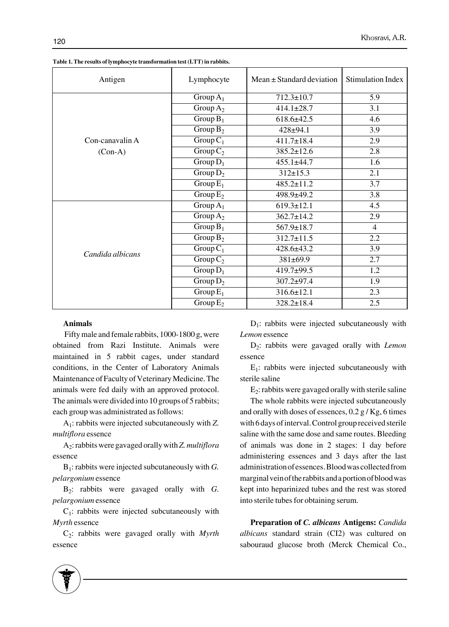| Antigen          | Lymphocyte  | $Mean \pm Standard deviation$ | <b>Stimulation Index</b> |
|------------------|-------------|-------------------------------|--------------------------|
|                  | Group $A_1$ | $712.3 \pm 10.7$              | 5.9                      |
|                  | Group $A_2$ | $414.1 \pm 28.7$              | 3.1                      |
|                  | Group $B_1$ | $618.6 \pm 42.5$              | 4.6                      |
|                  | Group $B_2$ | $428 + 94.1$                  | 3.9                      |
| Con-canavalin A  | Group $C_1$ | $411.7 \pm 18.4$              | 2.9                      |
| $(Con-A)$        | Group $C_2$ | $385.2 \pm 12.6$              | 2.8                      |
|                  | Group $D_1$ | $455.1 \pm 44.7$              | 1.6                      |
|                  | Group $D_2$ | $312 \pm 15.3$                | 2.1                      |
|                  | Group $E_1$ | $485.2 \pm 11.2$              | 3.7                      |
|                  | Group $E_2$ | 498.9±49.2                    | $\overline{3.8}$         |
|                  | Group $A_1$ | $619.3 \pm 12.1$              | 4.5                      |
|                  | Group $A_2$ | $362.7 \pm 14.2$              | 2.9                      |
|                  | Group $B_1$ | $567.9 \pm 18.7$              | $\overline{4}$           |
|                  | Group $B_2$ | $312.7 \pm 11.5$              | 2.2                      |
|                  | Group $C_1$ | $428.6 \pm 43.2$              | 3.9                      |
| Candida albicans | Group $C_2$ | $381 \pm 69.9$                | 2.7                      |
|                  | Group $D_1$ | 419.7±99.5                    | 1.2                      |
|                  | Group $D_2$ | $307.2 \pm 97.4$              | 1.9                      |
|                  | Group $E_1$ | $316.6 \pm 12.1$              | 2.3                      |
|                  | Group $E_2$ | $328.2 \pm 18.4$              | 2.5                      |

**Table 1. The results of lymphocyte transformation test (LTT) in rabbits.**

#### **Animals**

Fifty male and female rabbits, 1000-1800 g, were obtained from Razi Institute. Animals were maintained in 5 rabbit cages, under standard conditions, in the Center of Laboratory Animals Maintenance of Faculty of Veterinary Medicine. The animals were fed daily with an approved protocol. The animals were divided into 10 groups of 5 rabbits; each group was administrated as follows:

A1: rabbits were injected subcutaneously with *Z. multiflora* essence

A2: rabbits were gavaged orally with *Z. multiflora* essence

 $B_1$ : rabbits were injected subcutaneously with *G*. *pelargonium* essence

B2: rabbits were gavaged orally with *G. pelargonium* essence

 $C_1$ : rabbits were injected subcutaneously with *Myrth* essence

C2: rabbits were gavaged orally with *Myrth* essence

 $D_1$ : rabbits were injected subcutaneously with *Lemon* essence

D2: rabbits were gavaged orally with *Lemon* essence

 $E_1$ : rabbits were injected subcutaneously with sterile saline

 $E_2$ : rabbits were gavaged orally with sterile saline

The whole rabbits were injected subcutaneously and orally with doses of essences, 0.2 g / Kg, 6 times with 6 days of interval. Control group received sterile saline with the same dose and same routes. Bleeding of animals was done in 2 stages: 1 day before administering essences and 3 days after the last administration of essences. Blood was collected from marginal vein of the rabbits and a portion of blood was kept into heparinized tubes and the rest was stored into sterile tubes for obtaining serum.

**Preparation of** *C. albicans* **Antigens:** *Candida albicans* standard strain (CI2) was cultured on sabouraud glucose broth (Merck Chemical Co.,

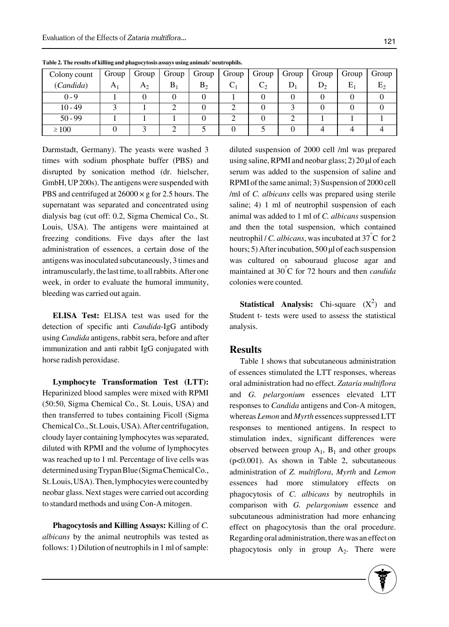| Colony count | Group          | Group | Group | Group ' | $\sqrt{1 + 6}$ | Group | Group | Group | Group | Group          |
|--------------|----------------|-------|-------|---------|----------------|-------|-------|-------|-------|----------------|
| (Candida)    | A <sub>1</sub> | $A_2$ | $B_1$ | $B_2$   |                |       |       | D,    | $E_1$ | E <sub>2</sub> |
| $0 - 9$      |                |       |       |         |                |       |       |       |       |                |
| $10 - 49$    |                |       |       |         |                |       |       |       |       |                |
| $50 - 99$    |                |       |       |         |                |       |       |       |       |                |
| $\geq 100$   |                |       |       |         |                |       |       |       |       |                |

**Table 2. The results of killing and phagocytosis assays using animals' neutrophils.**

Darmstadt, Germany). The yeasts were washed 3 times with sodium phosphate buffer (PBS) and disrupted by sonication method (dr. hielscher, GmbH, UP 200s). The antigens were suspended with PBS and centrifuged at  $26000 \times g$  for 2.5 hours. The supernatant was separated and concentrated using dialysis bag (cut off: 0.2, Sigma Chemical Co., St. Louis, USA). The antigens were maintained at freezing conditions. Five days after the last administration of essences, a certain dose of the antigens was inoculated subcutaneously, 3 times and intramuscularly, the last time, to all rabbits. After one week, in order to evaluate the humoral immunity, bleeding was carried out again.

**ELISA Test:** ELISA test was used for the detection of specific anti *Candida*-IgG antibody using *Candida* antigens, rabbit sera, before and after immunization and anti rabbit IgG conjugated with horse radish peroxidase.

**Lymphocyte Transformation Test (LTT):** Heparinized blood samples were mixed with RPMI (50:50, Sigma Chemical Co., St. Louis, USA) and then transferred to tubes containing Ficoll (Sigma Chemical Co., St. Louis, USA). After centrifugation, cloudy layer containing lymphocytes was separated, diluted with RPMI and the volume of lymphocytes was reached up to 1 ml. Percentage of live cells was determined using Trypan Blue (Sigma Chemical Co., St. Louis, USA). Then, lymphocytes were counted by neobar glass. Next stages were carried out according to standard methods and using Con-A mitogen.

**Phagocytosis and Killing Assays:** Killing of *C. albicans* by the animal neutrophils was tested as follows: 1) Dilution of neutrophils in 1 ml of sample: diluted suspension of 2000 cell /ml was prepared using saline, RPMI and neobar glass; 2) 20 μl of each serum was added to the suspension of saline and RPMI of the same animal; 3) Suspension of 2000 cell /ml of *C. albicans* cells was prepared using sterile saline; 4) 1 ml of neutrophil suspension of each animal was added to 1 ml of *C. albicans* suspension and then the total suspension, which contained neutrophil / *C. albicans*, was incubated at 37° C for 2 hours; 5) After incubation, 500 μl of each suspension was cultured on sabouraud glucose agar and maintained at 30° C for 72 hours and then *candida* colonies were counted.

**Statistical Analysis:** Chi-square  $(X^2)$  and Student t- tests were used to assess the statistical analysis.

### **Results**

Table 1 shows that subcutaneous administration of essences stimulated the LTT responses, whereas oral administration had no effect. *Zataria multiflora* and *G. pelargonium* essences elevated LTT responses to *Candida* antigens and Con-A mitogen, whereas *Lemon* and *Myrth* essences suppressed LTT responses to mentioned antigens. In respect to stimulation index, significant differences were observed between group  $A_1$ ,  $B_1$  and other groups (p<0.001). As shown in Table 2, subcutaneous administration of *Z. multiflora*, *Myrth* and *Lemon* essences had more stimulatory effects on phagocytosis of *C. albicans* by neutrophils in comparison with *G. pelargonium* essence and subcutaneous administration had more enhancing effect on phagocytosis than the oral procedure. Regarding oral administration, there was an effect on phagocytosis only in group  $A_2$ . There were

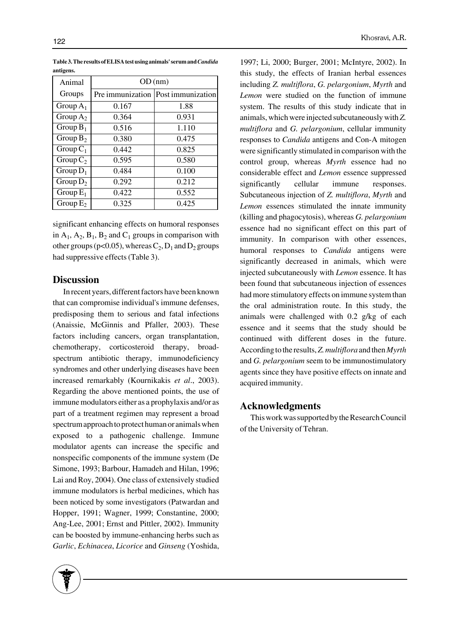| Animal      | OD(nm) |                                      |  |  |
|-------------|--------|--------------------------------------|--|--|
| Groups      |        | Pre immunization   Post immunization |  |  |
| Group $A_1$ | 0.167  | 1.88                                 |  |  |
| Group $A_2$ | 0.364  | 0.931                                |  |  |
| Group $B_1$ | 0.516  | 1.110                                |  |  |
| Group $B_2$ | 0.380  | 0.475                                |  |  |
| Group $C_1$ | 0.442  | 0.825                                |  |  |
| Group $C_2$ | 0.595  | 0.580                                |  |  |
| Group $D_1$ | 0.484  | 0.100                                |  |  |
| Group $D_2$ | 0.292  | 0.212                                |  |  |
| Group $E_1$ | 0.422  | 0.552                                |  |  |
| Group $E_2$ | 0.325  | 0.425                                |  |  |

**Table 3. The results of ELISA test using animals' serum and** *Candida* **antigens.**

significant enhancing effects on humoral responses in  $A_1$ ,  $A_2$ ,  $B_1$ ,  $B_2$  and  $C_1$  groups in comparison with other groups (p<0.05), whereas  $C_2$ ,  $D_1$  and  $D_2$  groups had suppressive effects (Table 3).

#### **Discussion**

In recent years, different factors have been known that can compromise individual's immune defenses, predisposing them to serious and fatal infections (Anaissie, McGinnis and Pfaller, 2003). These factors including cancers, organ transplantation, chemotherapy, corticosteroid therapy, broadspectrum antibiotic therapy, immunodeficiency syndromes and other underlying diseases have been increased remarkably (Kournikakis *et al*., 2003). Regarding the above mentioned points, the use of immune modulators either as a prophylaxis and/or as part of a treatment regimen may represent a broad spectrum approach to protect human or animals when exposed to a pathogenic challenge. Immune modulator agents can increase the specific and nonspecific components of the immune system (De Simone, 1993; Barbour, Hamadeh and Hilan, 1996; Lai and Roy, 2004). One class of extensively studied immune modulators is herbal medicines, which has been noticed by some investigators (Patwardan and Hopper, 1991; Wagner, 1999; Constantine, 2000; Ang-Lee, 2001; Ernst and Pittler, 2002). Immunity can be boosted by immune-enhancing herbs such as *Garlic*, *Echinacea*, *Licorice* and *Ginseng* (Yoshida,

including *Z. multiflora*, *G. pelargonium*, *Myrth* and *Lemon* were studied on the function of immune system. The results of this study indicate that in animals, which were injected subcutaneously with *Z. multiflora* and *G. pelargonium*, cellular immunity responses to *Candida* antigens and Con-A mitogen were significantly stimulated in comparison with the control group, whereas *Myrth* essence had no considerable effect and *Lemon* essence suppressed significantly cellular immune responses. Subcutaneous injection of *Z. multiflora*, *Myrth* and *Lemon* essences stimulated the innate immunity (killing and phagocytosis), whereas *G. pelargonium* essence had no significant effect on this part of immunity. In comparison with other essences, humoral responses to *Candida* antigens were significantly decreased in animals, which were injected subcutaneously with *Lemon* essence. It has been found that subcutaneous injection of essences had more stimulatory effects on immune system than the oral administration route. In this study, the animals were challenged with 0.2 g/kg of each essence and it seems that the study should be continued with different doses in the future. According to the results, *Z. multiflora* and then *Myrth* and *G. pelargonium* seem to be immunostimulatory agents since they have positive effects on innate and acquired immunity.

1997; Li, 2000; Burger, 2001; McIntyre, 2002). In this study, the effects of Iranian herbal essences

#### **Acknowledgments**

This work was supported by the Research Council of the University of Tehran.

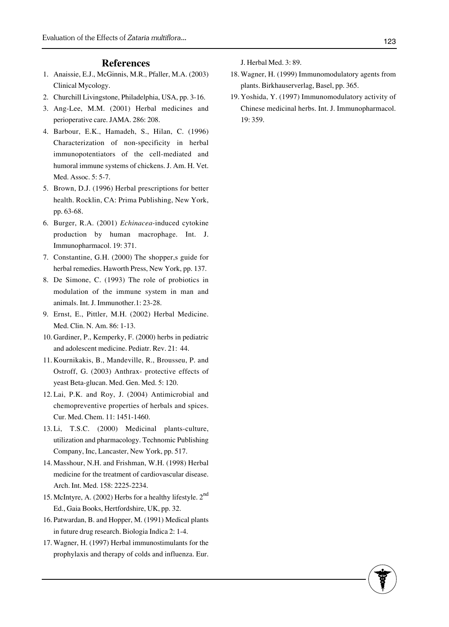#### **References**

- Anaissie, E.J., McGinnis, M.R., Pfaller, M.A. (2003) 1. Clinical Mycology.
- 2. Churchill Livingstone, Philadelphia, USA, pp. 3-16.
- Ang-Lee, M.M. (2001) Herbal medicines and 3. perioperative care. JAMA. 286: 208.
- Barbour, E.K., Hamadeh, S., Hilan, C. (1996) 4. Characterization of non-specificity in herbal immunopotentiators of the cell-mediated and humoral immune systems of chickens. J. Am. H. Vet. Med. Assoc. 5: 5-7.
- 5. Brown, D.J. (1996) Herbal prescriptions for better health. Rocklin, CA: Prima Publishing, New York, pp. 63-68.
- 6. Burger, R.A. (2001) *Echinacea*-induced cytokine production by human macrophage. Int. J. Immunopharmacol. 19: 371.
- 7. Constantine, G.H. (2000) The shopper,s guide for herbal remedies. Haworth Press, New York, pp. 137.
- 8. De Simone, C. (1993) The role of probiotics in modulation of the immune system in man and animals. Int. J. Immunother.1: 23-28.
- 9. Ernst, E., Pittler, M.H. (2002) Herbal Medicine. Med. Clin. N. Am. 86: 1-13.
- 10. Gardiner, P., Kemperky, F. (2000) herbs in pediatric and adolescent medicine. Pediatr. Rev. 21: 44.
- 11. Kournikakis, B., Mandeville, R., Brousseu, P. and Ostroff, G. (2003) Anthrax- protective effects of yeast Beta-glucan. Med. Gen. Med. 5: 120.
- 12. Lai, P.K. and Roy, J. (2004) Antimicrobial and chemopreventive properties of herbals and spices. Cur. Med. Chem. 11: 1451-1460.
- 13. Li, T.S.C. (2000) Medicinal plants-culture, utilization and pharmacology. Technomic Publishing Company, Inc, Lancaster, New York, pp. 517.
- 14. Masshour, N.H. and Frishman, W.H. (1998) Herbal medicine for the treatment of cardiovascular disease. Arch. Int. Med. 158: 2225-2234.
- 15. McIntyre, A. (2002) Herbs for a healthy lifestyle. 2<sup>nd</sup> Ed., Gaia Books, Hertfordshire, UK, pp. 32.
- 16. Patwardan, B. and Hopper, M. (1991) Medical plants in future drug research. Biologia Indica 2: 1-4.
- 17. Wagner, H. (1997) Herbal immunostimulants for the prophylaxis and therapy of colds and influenza. Eur.

J. Herbal Med. 3: 89.

- 18. Wagner, H. (1999) Immunomodulatory agents from plants. Birkhauserverlag, Basel, pp. 365.
- 19. Yoshida, Y. (1997) Immunomodulatory activity of Chinese medicinal herbs. Int. J. Immunopharmacol. 19: 359.